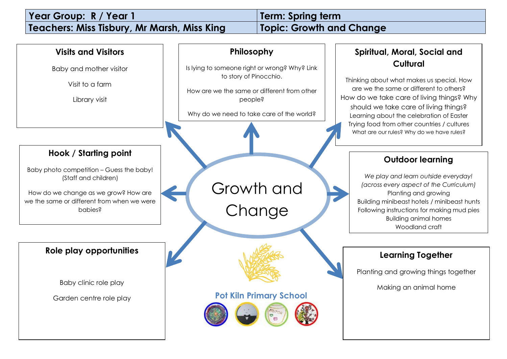